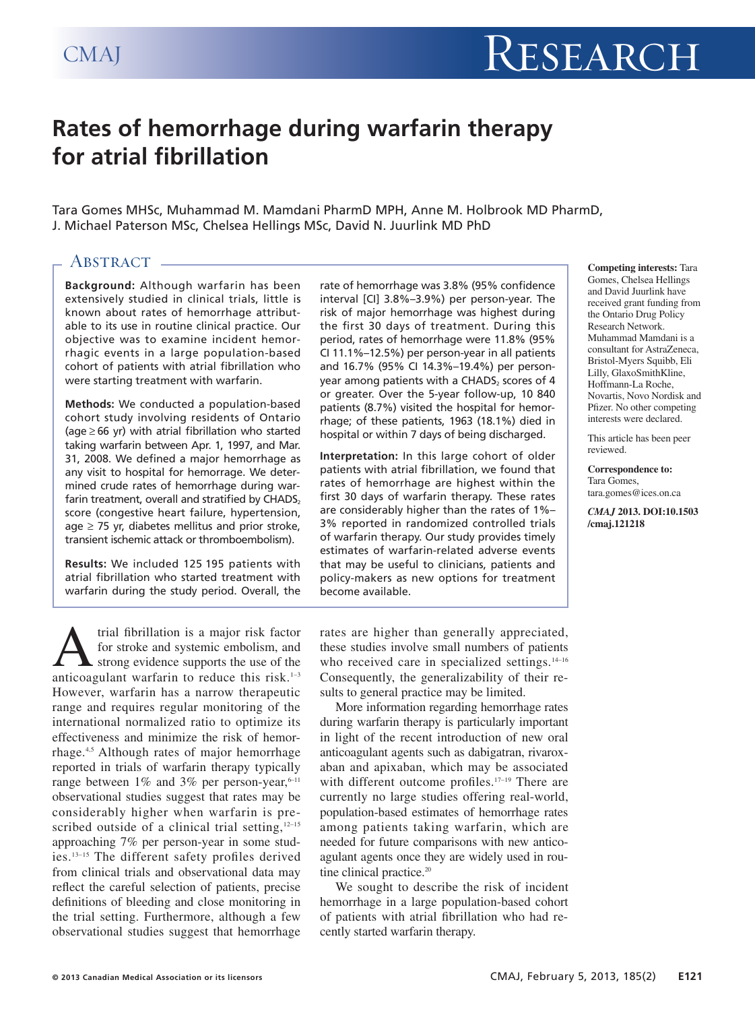# **Rates of hemorrhage during warfarin therapy for atrial fibrillation**

Tara Gomes MHSc, Muhammad M. Mamdani PharmD MPH, Anne M. Holbrook MD PharmD, J. Michael Paterson MSc, Chelsea Hellings MSc, David N. Juurlink MD PhD

# ABSTRACT -

**Background:** Although warfarin has been extensively studied in clinical trials, little is known about rates of hemorrhage attributable to its use in routine clinical practice. Our objective was to examine incident hemorrhagic events in a large population-based cohort of patients with atrial fibrillation who were starting treatment with warfarin.

**Methods:** We conducted a population-based cohort study involving residents of Ontario (age ≥ 66 yr) with atrial fibrillation who started taking warfarin between Apr. 1, 1997, and Mar. 31, 2008. We defined a major hemorrhage as any visit to hospital for hemorrage. We determined crude rates of hemorrhage during warfarin treatment, overall and stratified by  $CHADS<sub>2</sub>$ score (congestive heart failure, hypertension, age  $\geq$  75 yr, diabetes mellitus and prior stroke, transient ischemic attack or thromboembolism).

**Results:** We included 125 195 patients with atrial fibrillation who started treatment with warfarin during the study period. Overall, the

trial fibrillation is a major risk factor<br>for stroke and systemic embolism, and<br>anticoagulant warfarin to reduce this risk.<sup>1-3</sup> for stroke and systemic embolism, and strong evidence supports the use of the anticoagulant warfarin to reduce this risk. $1-3$ However, warfarin has a narrow therapeutic range and requires regular monitoring of the international normalized ratio to optimize its effectiveness and minimize the risk of hemorrhage.4,5 Although rates of major hemorrhage reported in trials of warfarin therapy typically range between  $1\%$  and  $3\%$  per person-year,<sup>6-11</sup> observational studies suggest that rates may be considerably higher when warfarin is prescribed outside of a clinical trial setting, $12-15$ approaching 7% per person-year in some studies.13–15 The different safety profiles derived from clinical trials and observational data may reflect the careful selection of patients, precise definitions of bleeding and close monitoring in the trial setting. Furthermore, although a few observational studies suggest that hemorrhage rate of hemorrhage was 3.8% (95% confidence interval [CI] 3.8%–3.9%) per person-year. The risk of major hemorrhage was highest during the first 30 days of treatment. During this period, rates of hemorrhage were 11.8% (95% CI 11.1%–12.5%) per person-year in all patients and 16.7% (95% CI 14.3%–19.4%) per personyear among patients with a CHADS, scores of 4 or greater. Over the 5-year follow-up, 10 840 patients (8.7%) visited the hospital for hemorrhage; of these patients, 1963 (18.1%) died in hospital or within 7 days of being discharged.

**Interpretation:** In this large cohort of older patients with atrial fibrillation, we found that rates of hemorrhage are highest within the first 30 days of warfarin therapy. These rates are considerably higher than the rates of 1%– 3% reported in randomized controlled trials of warfarin therapy. Our study provides timely estimates of warfarin-related adverse events that may be useful to clinicians, patients and policy-makers as new options for treatment become available.

rates are higher than generally appreciated, these studies involve small numbers of patients who received care in specialized settings. $14-16$ Consequently, the generalizability of their results to general practice may be limited.

More information regarding hemorrhage rates during warfarin therapy is particularly important in light of the recent introduction of new oral anticoagulant agents such as dabigatran, rivaroxaban and apixaban, which may be associated with different outcome profiles.<sup>17-19</sup> There are currently no large studies offering real-world, population-based estimates of hemorrhage rates among patients taking warfarin, which are needed for future comparisons with new anticoagulant agents once they are widely used in routine clinical practice.<sup>20</sup>

We sought to describe the risk of incident hemorrhage in a large population-based cohort of patients with atrial fibrillation who had recently started warfarin therapy.

#### **Competing interests:** Tara Gomes, Chelsea Hellings and David Juurlink have received grant funding from the Ontario Drug Policy Research Network. Muhammad Mamdani is a consultant for AstraZeneca, Bristol-Myers Squibb, Eli Lilly, GlaxoSmithKline, Hoffmann-La Roche, Novartis, Novo Nordisk and Pfizer. No other competing interests were declared.

This article has been peer reviewed.

**Correspondence to:** Tara Gomes, tara.gomes@ices.on.ca

*CMAJ* **2013. DOI:10.1503 /cmaj.121218**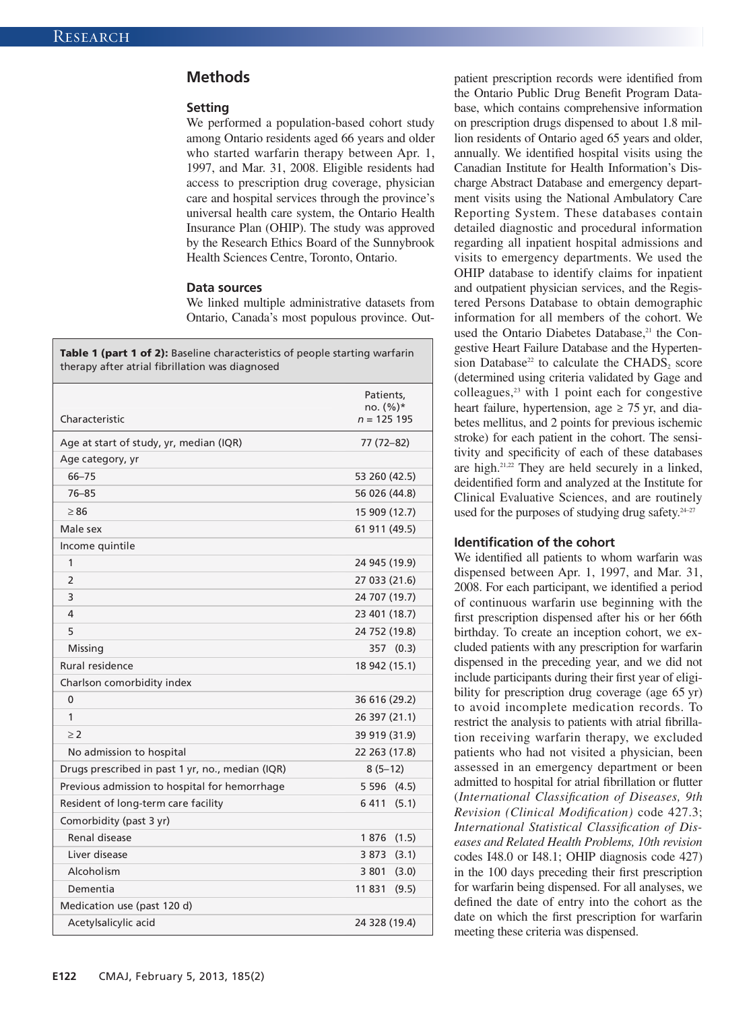## **Methods**

#### **Setting**

We performed a population-based cohort study among Ontario residents aged 66 years and older who started warfarin therapy between Apr. 1, 1997, and Mar. 31, 2008. Eligible residents had access to prescription drug coverage, physician care and hospital services through the province's universal health care system, the Ontario Health Insurance Plan (OHIP). The study was approved by the Research Ethics Board of the Sunnybrook Health Sciences Centre, Toronto, Ontario.

#### **Data sources**

We linked multiple administrative datasets from Ontario, Canada's most populous province. Out-

| Characteristic                                   | Patients,<br>no. $(\%)^*$<br>$n = 125$ 195 |
|--------------------------------------------------|--------------------------------------------|
| Age at start of study, yr, median (IQR)          | 77 (72-82)                                 |
| Age category, yr                                 |                                            |
| $66 - 75$                                        | 53 260 (42.5)                              |
| $76 - 85$                                        | 56 026 (44.8)                              |
| $\geq 86$                                        | 15 909 (12.7)                              |
| Male sex                                         | 61 911 (49.5)                              |
| Income quintile                                  |                                            |
| 1                                                | 24 945 (19.9)                              |
| $\overline{2}$                                   | 27 033 (21.6)                              |
| 3                                                | 24 707 (19.7)                              |
| 4                                                | 23 401 (18.7)                              |
| 5                                                | 24 752 (19.8)                              |
| Missing                                          | 357 (0.3)                                  |
| Rural residence                                  | 18 942 (15.1)                              |
| Charlson comorbidity index                       |                                            |
| $\mathbf{0}$                                     | 36 616 (29.2)                              |
| 1                                                | 26 397 (21.1)                              |
| $\geq$ 2                                         | 39 919 (31.9)                              |
| No admission to hospital                         | 22 263 (17.8)                              |
| Drugs prescribed in past 1 yr, no., median (IQR) | $8(5-12)$                                  |
| Previous admission to hospital for hemorrhage    | 5 596 (4.5)                                |
| Resident of long-term care facility              | 6 411 (5.1)                                |
| Comorbidity (past 3 yr)                          |                                            |
| Renal disease                                    | 1 876 (1.5)                                |
| Liver disease                                    | 3 873 (3.1)                                |
| Alcoholism                                       | 3 801 (3.0)                                |
| Dementia                                         | 11831(9.5)                                 |
| Medication use (past 120 d)                      |                                            |
| Acetylsalicylic acid                             | 24 328 (19.4)                              |

patient prescription records were identified from the Ontario Public Drug Benefit Program Database, which contains comprehensive information on prescription drugs dispensed to about 1.8 million residents of Ontario aged 65 years and older, annually. We identified hospital visits using the Canadian Institute for Health Information's Discharge Abstract Database and emergency department visits using the National Ambulatory Care Reporting System. These databases contain detailed diagnostic and procedural information regarding all inpatient hospital admissions and visits to emergency departments. We used the OHIP database to identify claims for inpatient and outpatient physician services, and the Registered Persons Database to obtain demographic information for all members of the cohort. We used the Ontario Diabetes Database,<sup>21</sup> the Congestive Heart Failure Database and the Hypertension Database<sup>22</sup> to calculate the CHADS<sub>2</sub> score (determined using criteria validated by Gage and colleagues, $23$  with 1 point each for congestive heart failure, hypertension, age  $\geq$  75 yr, and diabetes mellitus, and 2 points for previous ischemic stroke) for each patient in the cohort. The sensitivity and specificity of each of these databases are high.21,22 They are held securely in a linked, deidentified form and analyzed at the Institute for Clinical Evaluative Sciences, and are routinely used for the purposes of studying drug safety.<sup>24-27</sup>

### **Identification of the cohort**

We identified all patients to whom warfarin was dispensed between Apr. 1, 1997, and Mar. 31, 2008. For each participant, we identified a period of continuous warfarin use beginning with the first prescription dispensed after his or her 66th birthday. To create an inception cohort, we excluded patients with any prescription for warfarin dispensed in the preceding year, and we did not include participants during their first year of eligibility for prescription drug coverage (age 65 yr) to avoid incomplete medication records. To restrict the analysis to patients with atrial fibrillation receiving warfarin therapy, we excluded patients who had not visited a physician, been assessed in an emergency department or been admitted to hospital for atrial fibrillation or flutter (*International Classification of Diseases, 9th Revision (Clinical Modification)* code 427.3; *International Statistical Classification of Diseases and Related Health Problems, 10th revision* codes I48.0 or I48.1; OHIP diagnosis code 427) in the 100 days preceding their first prescription for warfarin being dispensed. For all analyses, we defined the date of entry into the cohort as the date on which the first prescription for warfarin meeting these criteria was dispensed.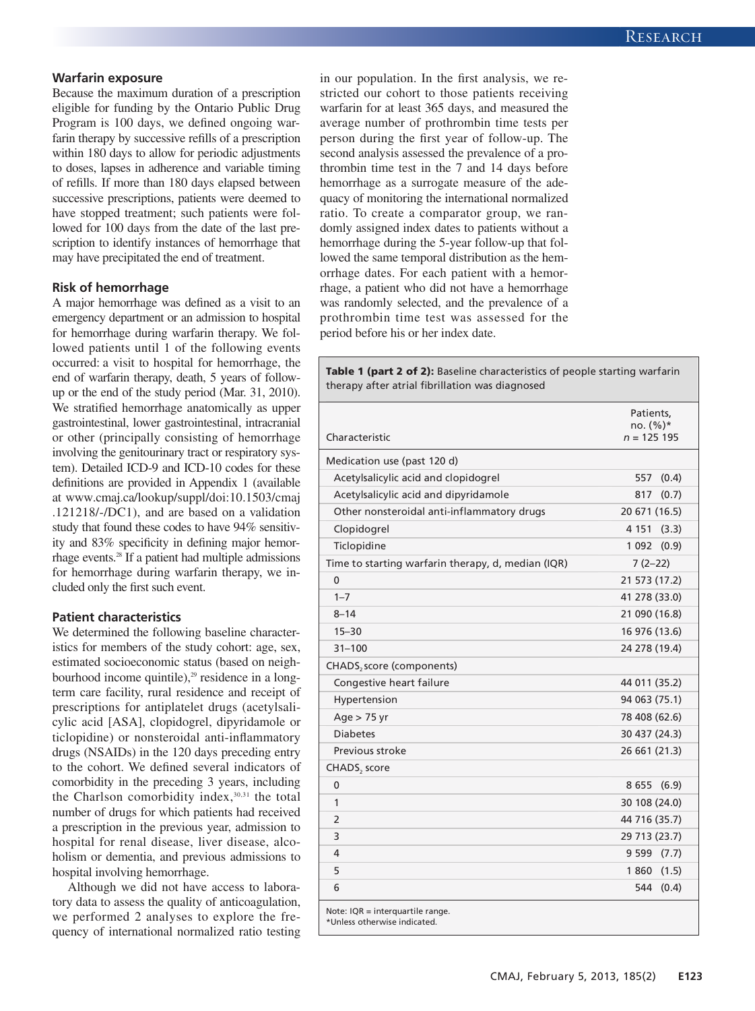## **Warfarin exposure**

Because the maximum duration of a prescription eligible for funding by the Ontario Public Drug Program is 100 days, we defined ongoing warfarin therapy by successive refills of a prescription within 180 days to allow for periodic adjustments to doses, lapses in adherence and variable timing of refills. If more than 180 days elapsed between successive prescriptions, patients were deemed to have stopped treatment; such patients were followed for 100 days from the date of the last prescription to identify instances of hemorrhage that may have precipitated the end of treatment.

#### **Risk of hemorrhage**

A major hemorrhage was defined as a visit to an emergency department or an admission to hospital for hemorrhage during warfarin therapy. We followed patients until 1 of the following events occurred: a visit to hospital for hemorrhage, the end of warfarin therapy, death, 5 years of followup or the end of the study period (Mar. 31, 2010). We stratified hemorrhage anatomically as upper gastrointestinal, lower gastrointestinal, intracranial or other (principally consisting of hemorrhage involving the genitourinary tract or respiratory system). Detailed ICD-9 and ICD-10 codes for these definitions are provided in Appendix 1 (available at www .cmaj .ca /lookup /suppl /doi :10 .1503 /cmaj .121218 /-/DC1), and are based on a validation study that found these codes to have 94% sensitivity and 83% specificity in defining major hemorrhage events.28 If a patient had multiple admissions for hemorrhage during warfarin therapy, we in cluded only the first such event.

## **Patient characteristics**

We determined the following baseline characteristics for members of the study cohort: age, sex, estimated socioeconomic status (based on neighbourhood income quintile), $29$  residence in a longterm care facility, rural residence and receipt of prescriptions for antiplatelet drugs (acetylsalicylic acid [ASA], clopidogrel, dipyridamole or ticlopidine) or nonsteroidal anti-inflammatory drugs (NSAIDs) in the 120 days preceding entry to the cohort. We defined several indicators of comorbidity in the preceding 3 years, including the Charlson comorbidity index,  $30,31$  the total number of drugs for which patients had received a prescription in the previous year, admission to hospital for renal disease, liver disease, alcoholism or dementia, and previous admissions to hospital involving hemorrhage.

Although we did not have access to laboratory data to assess the quality of anticoagulation, we performed 2 analyses to explore the frequency of international normalized ratio testing in our population. In the first analysis, we restricted our cohort to those patients receiving warfarin for at least 365 days, and measured the average number of prothrombin time tests per person during the first year of follow-up. The second analysis assessed the prevalence of a prothrombin time test in the 7 and 14 days before hemorrhage as a surrogate measure of the adequacy of monitoring the international normalized ratio. To create a comparator group, we randomly assigned index dates to patients without a hemorrhage during the 5-year follow-up that followed the same temporal distribution as the hemorrhage dates. For each patient with a hemorrhage, a patient who did not have a hemorrhage was randomly selected, and the prevalence of a prothrombin time test was assessed for the period before his or her index date.

**Table 1 (part 2 of 2):** Baseline characteristics of people starting warfarin therapy after atrial fibrillation was diagnosed

|                                                                  | Patients,<br>$no. (%)*$ |
|------------------------------------------------------------------|-------------------------|
| Characteristic                                                   | $n = 125$ 195           |
| Medication use (past 120 d)                                      |                         |
| Acetylsalicylic acid and clopidogrel                             | 557<br>(0.4)            |
| Acetylsalicylic acid and dipyridamole                            | 817<br>(0.7)            |
| Other nonsteroidal anti-inflammatory drugs                       | 20 671 (16.5)           |
| Clopidogrel                                                      | 4 1 5 1<br>(3.3)        |
| Ticlopidine                                                      | 1 0 9 2<br>(0.9)        |
| Time to starting warfarin therapy, d, median (IQR)               | $7(2-22)$               |
| 0                                                                | 21 573 (17.2)           |
| $1 - 7$                                                          | 41 278 (33.0)           |
| $8 - 14$                                                         | 21 090 (16.8)           |
| $15 - 30$                                                        | 16 976 (13.6)           |
| $31 - 100$                                                       | 24 278 (19.4)           |
| CHADS <sub>2</sub> score (components)                            |                         |
| Congestive heart failure                                         | 44 011 (35.2)           |
| Hypertension                                                     | 94 063 (75.1)           |
| Age > 75 yr                                                      | 78 408 (62.6)           |
| <b>Diabetes</b>                                                  | 30 437 (24.3)           |
| Previous stroke                                                  | 26 661 (21.3)           |
| CHADS, score                                                     |                         |
| $\mathbf 0$                                                      | 8655<br>(6.9)           |
| 1                                                                | 30 108 (24.0)           |
| 2                                                                | 44 716 (35.7)           |
| 3                                                                | 29 713 (23.7)           |
| 4                                                                | 9599(7.7)               |
| 5                                                                | 1860(1.5)               |
| 6                                                                | 544<br>(0.4)            |
| Note: IQR = interguartile range.<br>*Unless otherwise indicated. |                         |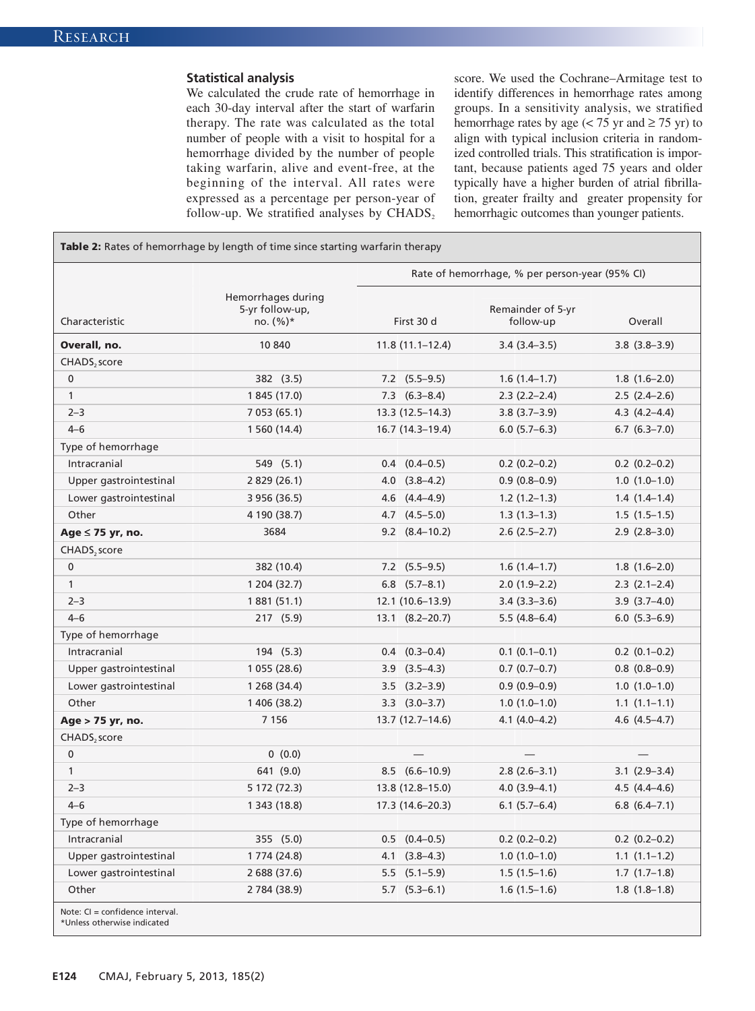## **Statistical analysis**

We calculated the crude rate of hemorrhage in each 30-day interval after the start of warfarin therapy. The rate was calculated as the total number of people with a visit to hospital for a hemorrhage divided by the number of people taking warfarin, alive and event-free, at the beginning of the interval. All rates were expressed as a percentage per person-year of follow-up. We stratified analyses by  $\text{CHADS}_2$  score. We used the Cochrane–Armitage test to identify differences in hemorrhage rates among groups. In a sensitivity analysis, we stratified hemorrhage rates by age ( $\lt$  75 yr and  $\geq$  75 yr) to align with typical inclusion criteria in randomized controlled trials. This stratification is important, because patients aged 75 years and older typically have a higher burden of atrial fibrillation, greater frailty and greater propensity for hemorrhagic outcomes than younger patients.

**Table 2:** Rates of hemorrhage by length of time since starting warfarin therapy Rate of hemorrhage, % per person-year (95% CI) Characteristic Hemorrhages during 5-yr follow-up, no. (%)\* First 30 d Remainder of 5-yr follow-up Overall **Overall, no. 10 840 11.8 (11.1–12.4)** 3.4 (3.4–3.5) 3.8 (3.8–3.9) CHADS<sub>2</sub> score 0 382 (3.5) 7.2 (5.5–9.5) 1.6 (1.4–1.7) 1.8 (1.6–2.0) 1 1 845 (17.0) 7.3 (6.3–8.4) 2.3 (2.2–2.4) 2.5 (2.4–2.6) 2–3 7 053 (65.1) 13.3 (12.5–14.3) 3.8 (3.7–3.9) 4.3 (4.2–4.4) 4–6 1 560 (14.4) 16.7 (14.3–19.4) 6.0 (5.7–6.3) 6.7 (6.3–7.0) Type of hemorrhage Intracranial 549 (5.1) 0.4 (0.4–0.5) 0.2 (0.2–0.2) 0.2 (0.2–0.2) Upper gastrointestinal 2 829 (26.1) 4.0 (3.8–4.2) 0.9 (0.8–0.9) 1.0 (1.0–1.0) Lower gastrointestinal 3 956 (36.5) 4.6 (4.4–4.9) 1.2 (1.2–1.3) 1.4 (1.4–1.4) Other 4 190 (38.7) 4.7 (4.5–5.0) 1.3 (1.3–1.3) 1.5 (1.5–1.5) **Age** ≤ **75 yr, no.** 3684 9.2 (8.4–10.2) 2.6 (2.5–2.7) 2.9 (2.8–3.0)  $CHADS<sub>2</sub> score$ 0 382 (10.4) 7.2 (5.5–9.5) 1.6 (1.4–1.7) 1.8 (1.6–2.0) 1 1 204 (32.7) 6.8 (5.7–8.1) 2.0 (1.9–2.2) 2.3 (2.1–2.4) 2–3 1 881 (51.1) 12.1 (10.6–13.9) 3.4 (3.3–3.6) 3.9 (3.7–4.0) 4–6 217 (5.9) 13.1 (8.2–20.7) 5.5 (4.8–6.4) 6.0 (5.3–6.9) Type of hemorrhage Intracranial 194 (5.3) 0.4 (0.3–0.4) 0.1 (0.1–0.1) 0.2 (0.1–0.2) Upper gastrointestinal 1 055 (28.6) 3.9 (3.5–4.3) 0.7 (0.7–0.7) 0.8 (0.8–0.9) Lower gastrointestinal 1 268 (34.4) 3.5 (3.2–3.9) 0.9 (0.9–0.9) 1.0 (1.0–1.0) Other 1 406 (38.2) 3.3 (3.0–3.7) 1.0 (1.0–1.0) 1.1 (1.1–1.1) **Age > 75 yr, no. 7 156** 13.7 (12.7–14.6) 4.1 (4.0–4.2) 4.6 (4.5–4.7) CHADS, score  $0 \hspace{.2cm} 0 \hspace{.2cm} 0 \hspace{.2cm} 0 \hspace{.2cm} 0 \hspace{.2cm} 0 \hspace{.2cm} 0 \hspace{.2cm} 0 \hspace{.2cm} 0 \hspace{.2cm} 0 \hspace{.2cm} 0 \hspace{.2cm} 0 \hspace{.2cm} 0 \hspace{.2cm} 0 \hspace{.2cm} 0 \hspace{.2cm} 0 \hspace{.2cm} 0 \hspace{.2cm} 0 \hspace{.2cm} 0 \hspace{.2cm} 0 \hspace{.2cm} 0 \hspace{.2cm} 0 \hspace{.2cm}$ 1 641 (9.0) 8.5 (6.6–10.9) 2.8 (2.6–3.1) 3.1 (2.9–3.4) 2–3 5 172 (72.3) 13.8 (12.8–15.0) 4.0 (3.9–4.1) 4.5 (4.4–4.6) 4–6 1 343 (18.8) 17.3 (14.6–20.3) 6.1 (5.7–6.4) 6.8 (6.4–7.1) Type of hemorrhage Intracranial 355 (5.0) 0.5 (0.4–0.5) 0.2 (0.2–0.2) 0.2 (0.2–0.2) Upper gastrointestinal 1 774 (24.8) 4.1 (3.8–4.3) 1.0 (1.0–1.0) 1.1 (1.1–1.2) Lower gastrointestinal 2 688 (37.6) 5.5 (5.1–5.9) 1.5 (1.5–1.6) 1.7 (1.7–1.8) Other 2 784 (38.9) 5.7 (5.3–6.1) 1.6 (1.5–1.6) 1.8 (1.8–1.8) Note: CI = confidence interval. \*Unless otherwise indicated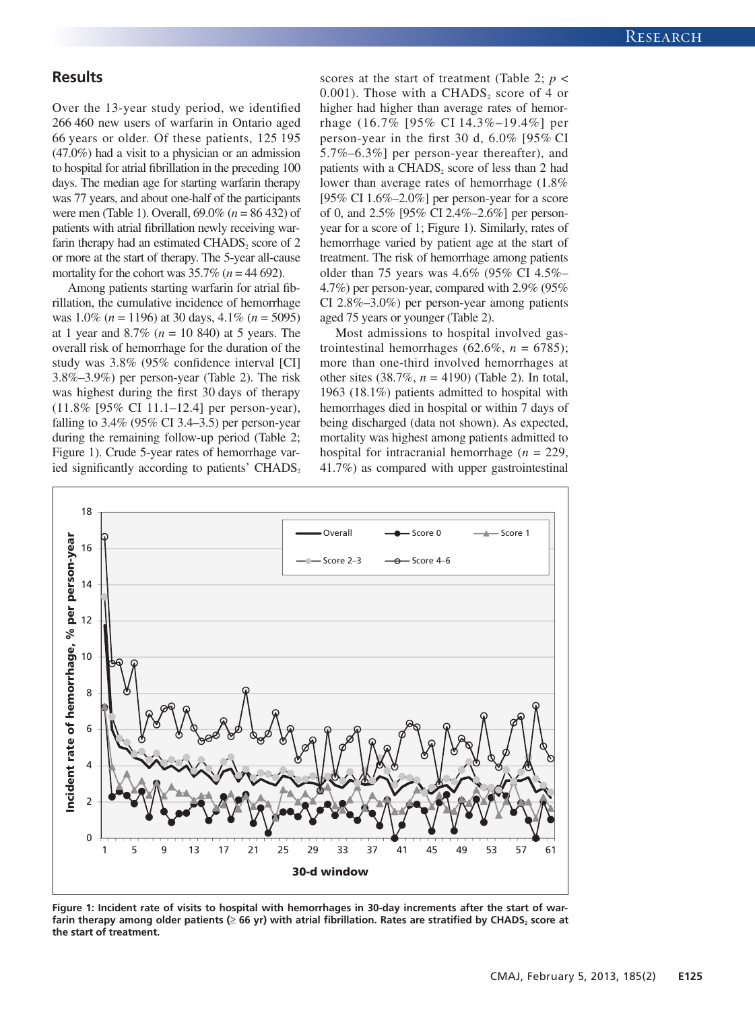# **Results**

Over the 13-year study period, we identified 266 460 new users of warfarin in Ontario aged 66 years or older. Of these patients, 125 195 (47.0%) had a visit to a physician or an admission to hospital for atrial fibrillation in the preceding 100 days. The median age for starting warfarin therapy was 77 years, and about one-half of the participants were men (Table 1). Overall, 69.0% (*n* = 86 432) of patients with atrial fibrillation newly receiving warfarin therapy had an estimated  $CHADS<sub>2</sub>$  score of 2 or more at the start of therapy. The 5-year all-cause mortality for the cohort was  $35.7\%$  ( $n = 44\,692$ ).

Among patients starting warfarin for atrial fibrillation, the cumulative incidence of hemorrhage was 1.0% (*n* = 1196) at 30 days, 4.1% (*n* = 5095) at 1 year and 8.7% (*n* = 10 840) at 5 years. The overall risk of hemorrhage for the duration of the study was 3.8% (95% confidence interval [CI] 3.8%–3.9%) per person-year (Table 2). The risk was highest during the first 30 days of therapy (11.8% [95% CI 11.1–12.4] per person-year), falling to  $3.4\%$  (95% CI 3.4–3.5) per person-year during the remaining follow-up period (Table 2; Figure 1). Crude 5-year rates of hemorrhage varied significantly according to patients' CHADS, scores at the start of treatment (Table 2; *p* < 0.001). Those with a CHADS<sub>2</sub> score of 4 or higher had higher than average rates of hemorrhage (16.7% [95% CI 14.3%–19.4%] per person-year in the first 30 d, 6.0% [95% CI 5.7%–6.3%] per person-year thereafter), and patients with a CHADS, score of less than 2 had lower than average rates of hemorrhage (1.8% [95% CI  $1.6\%$  –2.0%] per person-year for a score of 0, and 2.5% [95% CI 2.4%–2.6%] per personyear for a score of 1; Figure 1). Similarly, rates of hemorrhage varied by patient age at the start of treatment. The risk of hemorrhage among patients older than 75 years was 4.6% (95% CI 4.5%– 4.7%) per person-year, compared with 2.9% (95% CI 2.8%–3.0%) per person-year among patients aged 75 years or younger (Table 2).

Most admissions to hospital involved gastrointestinal hemorrhages  $(62.6\%, n = 6785)$ ; more than one-third involved hemorrhages at other sites (38.7%, *n* = 4190) (Table 2). In total, 1963 (18.1%) patients admitted to hospital with hemorrhages died in hospital or within 7 days of being discharged (data not shown). As expected, mortality was highest among patients admitted to hospital for intracranial hemorrhage (*n* = 229, 41.7%) as compared with upper gastrointestinal



**Figure 1: Incident rate of visits to hospital with hemorrhages in 30-day increments after the start of war**farin therapy among older patients (≥ 66 yr) with atrial fibrillation. Rates are stratified by CHADS<sub>2</sub> score at **the start of treatment.**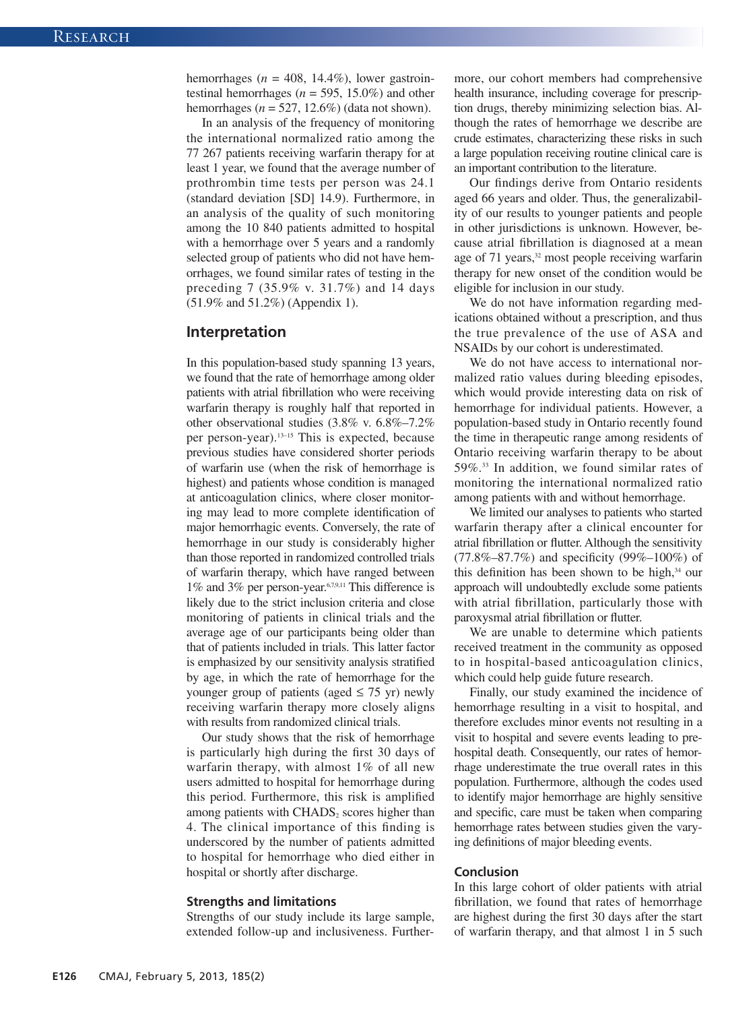hemorrhages ( $n = 408$ , 14.4%), lower gastrointestinal hemorrhages (*n* = 595, 15.0%) and other hemorrhages  $(n = 527, 12.6\%)$  (data not shown).

In an analysis of the frequency of monitoring the international normalized ratio among the 77 267 patients receiving warfarin therapy for at least 1 year, we found that the average number of prothrombin time tests per person was 24.1 (standard deviation [SD] 14.9). Furthermore, in an analysis of the quality of such monitoring among the 10 840 patients admitted to hospital with a hemorrhage over 5 years and a randomly selected group of patients who did not have hemorrhages, we found similar rates of testing in the preceding 7 (35.9% v. 31.7%) and 14 days (51.9% and 51.2%) (Appendix 1).

## **Interpretation**

In this population-based study spanning 13 years, we found that the rate of hemorrhage among older patients with atrial fibrillation who were receiving warfarin therapy is roughly half that reported in other observational studies (3.8% v. 6.8%–7.2% per person-year).13–15 This is ex pected, because previous studies have considered shorter periods of warfarin use (when the risk of hemorrhage is highest) and patients whose condition is managed at anticoagulation clinics, where closer monitoring may lead to more complete identification of major hemorrhagic events. Conversely, the rate of hemorrhage in our study is considerably higher than those reported in randomized controlled trials of warfarin therapy, which have ranged between 1% and 3% per person-year.6,7,9,11 This difference is likely due to the strict inclusion criteria and close monitoring of patients in clinical trials and the average age of our participants being older than that of patients included in trials. This latter factor is emphasized by our sensitivity analysis stratified by age, in which the rate of hemorrhage for the younger group of patients (aged  $\leq$  75 yr) newly receiving warfarin therapy more closely aligns with results from randomized clinical trials.

Our study shows that the risk of hemorrhage is particularly high during the first 30 days of warfarin therapy, with almost 1% of all new users admitted to hospital for hemorrhage during this period. Furthermore, this risk is amplified among patients with CHADS, scores higher than 4. The clinical importance of this finding is underscored by the number of patients admitted to hospital for hemorrhage who died either in hospital or shortly after discharge.

#### **Strengths and limitations**

Strengths of our study include its large sample, extended follow-up and inclusiveness. Furthermore, our cohort members had comprehensive health insurance, including coverage for prescription drugs, thereby minimizing selection bias. Al though the rates of hemorrhage we describe are crude estimates, characterizing these risks in such a large population receiving routine clinical care is an important contribution to the literature.

Our findings derive from Ontario residents aged 66 years and older. Thus, the generalizability of our results to younger patients and people in other jurisdictions is unknown. However, because atrial fibrillation is diagnosed at a mean age of 71 years,<sup>32</sup> most people receiving warfarin therapy for new onset of the condition would be eligible for inclusion in our study.

We do not have information regarding medications obtained without a prescription, and thus the true prevalence of the use of ASA and NSAIDs by our cohort is underestimated.

We do not have access to international normalized ratio values during bleeding episodes, which would provide interesting data on risk of hemorrhage for individual patients. However, a population-based study in Ontario recently found the time in therapeutic range among residents of Ontario receiving warfarin therapy to be about 59%.33 In addition, we found similar rates of monitoring the international normalized ratio among patients with and without hemorrhage.

We limited our analyses to patients who started warfarin therapy after a clinical encounter for atrial fibrillation or flutter. Although the sensitivity (77.8%–87.7%) and specificity (99%–100%) of this definition has been shown to be high, $34$  our approach will undoubtedly exclude some patients with atrial fibrillation, particularly those with paroxysmal atrial fibrillation or flutter.

We are unable to determine which patients received treatment in the community as opposed to in hospital-based anticoagulation clinics, which could help guide future research.

Finally, our study examined the incidence of hemorrhage resulting in a visit to hospital, and therefore excludes minor events not resulting in a visit to hospital and severe events leading to prehospital death. Consequently, our rates of hemorrhage underestimate the true overall rates in this population. Furthermore, although the codes used to identify major hemorrhage are highly sensitive and specific, care must be taken when comparing hemorrhage rates between studies given the varying definitions of major bleeding events.

#### **Conclusion**

In this large cohort of older patients with atrial fibrillation, we found that rates of hemorrhage are highest during the first 30 days after the start of warfarin therapy, and that almost 1 in 5 such